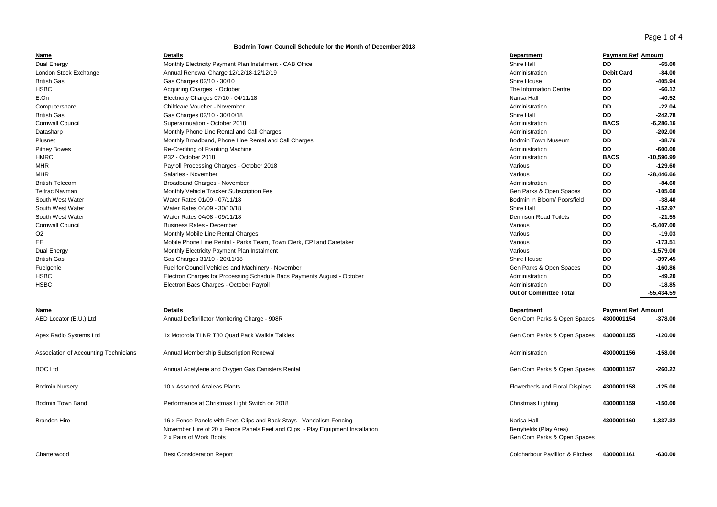Page 1 of 4

## **Bodmin Town Council Schedule for the Month of December 2018**

| Name                                  | <b>Details</b>                                                                  | Department                                 | <b>Payment Ref Amount</b> |              |
|---------------------------------------|---------------------------------------------------------------------------------|--------------------------------------------|---------------------------|--------------|
| Dual Energy                           | Monthly Electricity Payment Plan Instalment - CAB Office                        | Shire Hall                                 | <b>DD</b>                 | -65.00       |
| London Stock Exchange                 | Annual Renewal Charge 12/12/18-12/12/19                                         | Administration                             | <b>Debit Card</b>         | $-84.00$     |
| <b>British Gas</b>                    | Gas Charges 02/10 - 30/10                                                       | Shire House                                | DD                        | -405.94      |
| <b>HSBC</b>                           | Acquiring Charges - October                                                     | The Information Centre                     | DD                        | $-66.12$     |
| E.On                                  | Electricity Charges 07/10 - 04/11/18                                            | Narisa Hall                                | <b>DD</b>                 | $-40.52$     |
| Computershare                         | Childcare Voucher - November                                                    | Administration                             | DD                        | $-22.04$     |
| <b>British Gas</b>                    | Gas Charges 02/10 - 30/10/18                                                    | Shire Hall                                 | DD                        | $-242.78$    |
| <b>Cornwall Council</b>               | Superannuation - October 2018                                                   | Administration                             | <b>BACS</b>               | $-6,286.16$  |
| Datasharp                             | Monthly Phone Line Rental and Call Charges                                      | Administration                             | <b>DD</b>                 | $-202.00$    |
| Plusnet                               | Monthly Broadband, Phone Line Rental and Call Charges                           | <b>Bodmin Town Museum</b>                  | DD                        | $-38.76$     |
| <b>Pitney Bowes</b>                   | Re-Crediting of Franking Machine                                                | Administration                             | DD                        | $-600.00$    |
| <b>HMRC</b>                           | P32 - October 2018                                                              | Administration                             | <b>BACS</b>               | $-10,596.99$ |
| MHR                                   | Payroll Processing Charges - October 2018                                       | Various                                    | DD                        | $-129.60$    |
| <b>MHR</b>                            | Salaries - November                                                             | Various                                    | <b>DD</b>                 | $-28,446.66$ |
| <b>British Telecom</b>                | Broadband Charges - November                                                    | Administration                             | DD                        | $-84.60$     |
| <b>Teltrac Navman</b>                 | Monthly Vehicle Tracker Subscription Fee                                        | Gen Parks & Open Spaces                    | DD                        | $-105.60$    |
| South West Water                      | Water Rates 01/09 - 07/11/18                                                    | Bodmin in Bloom/ Poorsfield                | DD                        | $-38.40$     |
| South West Water                      | Water Rates 04/09 - 30/10/18                                                    | Shire Hall                                 | DD                        | $-152.97$    |
| South West Water                      | Water Rates 04/08 - 09/11/18                                                    | <b>Dennison Road Toilets</b>               | DD                        | $-21.55$     |
| <b>Cornwall Council</b>               | <b>Business Rates - December</b>                                                | Various                                    | DD                        | $-5,407.00$  |
| O <sub>2</sub>                        | Monthly Mobile Line Rental Charges                                              | Various                                    | DD                        | $-19.03$     |
| EE                                    | Mobile Phone Line Rental - Parks Team, Town Clerk, CPI and Caretaker            | Various                                    | DD                        | $-173.51$    |
| Dual Energy                           | Monthly Electricity Payment Plan Instalment                                     | Various                                    | <b>DD</b>                 | $-1,579.00$  |
| <b>British Gas</b>                    | Gas Charges 31/10 - 20/11/18                                                    | Shire House                                | DD                        | $-397.45$    |
| Fuelgenie                             | Fuel for Council Vehicles and Machinery - November                              | Gen Parks & Open Spaces                    | DD                        | $-160.86$    |
| <b>HSBC</b>                           | Electron Charges for Processing Schedule Bacs Payments August - October         | Administration                             | DD                        | $-49.20$     |
| <b>HSBC</b>                           | Electron Bacs Charges - October Payroll                                         | Administration                             | <b>DD</b>                 | $-18.85$     |
|                                       |                                                                                 | <b>Out of Committee Total</b>              |                           | -55,434.59   |
|                                       |                                                                                 |                                            |                           |              |
| Name                                  | <b>Details</b>                                                                  | <b>Department</b>                          | <b>Payment Ref Amount</b> |              |
| AED Locator (E.U.) Ltd                | Annual Defibrillator Monitoring Charge - 908R                                   | Gen Com Parks & Open Spaces                | 4300001154                | $-378.00$    |
|                                       |                                                                                 |                                            |                           |              |
| Apex Radio Systems Ltd                | 1x Motorola TLKR T80 Quad Pack Walkie Talkies                                   | Gen Com Parks & Open Spaces                | 4300001155                | $-120.00$    |
|                                       |                                                                                 |                                            |                           |              |
| Association of Accounting Technicians | Annual Membership Subscription Renewal                                          | Administration                             | 4300001156                | $-158.00$    |
|                                       |                                                                                 |                                            |                           |              |
| <b>BOC Ltd</b>                        | Annual Acetylene and Oxygen Gas Canisters Rental                                | Gen Com Parks & Open Spaces                | 4300001157                | $-260.22$    |
| <b>Bodmin Nursery</b>                 | 10 x Assorted Azaleas Plants                                                    | Flowerbeds and Floral Displays             | 4300001158                | $-125.00$    |
|                                       |                                                                                 |                                            |                           |              |
| <b>Bodmin Town Band</b>               | Performance at Christmas Light Switch on 2018                                   | Christmas Lighting                         | 4300001159                | -150.00      |
|                                       |                                                                                 |                                            |                           |              |
| <b>Brandon Hire</b>                   | 16 x Fence Panels with Feet, Clips and Back Stays - Vandalism Fencing           | Narisa Hall                                | 4300001160                | $-1,337.32$  |
|                                       | November Hire of 20 x Fence Panels Feet and Clips - Play Equipment Installation | Berryfields (Play Area)                    |                           |              |
|                                       | 2 x Pairs of Work Boots                                                         | Gen Com Parks & Open Spaces                |                           |              |
|                                       |                                                                                 |                                            |                           |              |
| Charterwood                           | <b>Best Consideration Report</b>                                                | <b>Coldharbour Pavillion &amp; Pitches</b> | 4300001161                | $-630.00$    |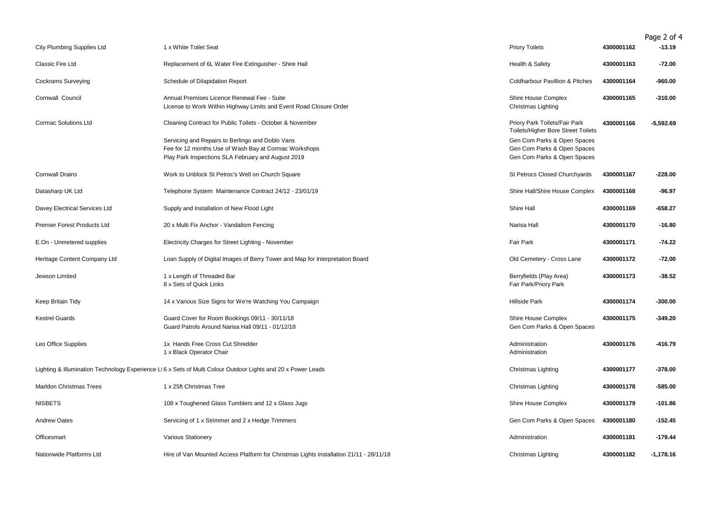|                                   |                                                                                                                                                                 |                                                                                           |            | Page 2 of 4 |
|-----------------------------------|-----------------------------------------------------------------------------------------------------------------------------------------------------------------|-------------------------------------------------------------------------------------------|------------|-------------|
| <b>City Plumbing Supplies Ltd</b> | 1 x White Toilet Seat                                                                                                                                           | <b>Priory Toilets</b>                                                                     | 4300001162 | $-13.19$    |
| Classic Fire Ltd                  | Replacement of 6L Water Fire Extinguisher - Shire Hall                                                                                                          | Health & Safety                                                                           | 4300001163 | $-72.00$    |
| <b>Cockrams Surveying</b>         | Schedule of Dilapidation Report                                                                                                                                 | <b>Coldharbour Pavillion &amp; Pitches</b>                                                | 4300001164 | $-960.00$   |
| Cornwall Council                  | Annual Premises Licence Renewal Fee - Suite<br>License to Work Within Highway Limits and Event Road Closure Order                                               | Shire House Complex<br>Christmas Lighting                                                 | 4300001165 | $-310.00$   |
| <b>Cormac Solutions Ltd</b>       | Cleaning Contract for Public Toilets - October & November                                                                                                       | Priory Park Toilets/Fair Park<br><b>Toilets/Higher Bore Street Toilets</b>                | 4300001166 | $-5,592.69$ |
|                                   | Servicing and Repairs to Berlingo and Doblo Vans<br>Fee for 12 months Use of Wash Bay at Cormac Workshops<br>Play Park Inspections SLA February and August 2019 | Gen Com Parks & Open Spaces<br>Gen Com Parks & Open Spaces<br>Gen Com Parks & Open Spaces |            |             |
| <b>Cornwall Drains</b>            | Work to Unblock St Petroc's Well on Church Square                                                                                                               | St Petrocs Closed Churchyards                                                             | 4300001167 | $-228.00$   |
| Datasharp UK Ltd                  | Telephone System Maintenance Contract 24/12 - 23/01/19                                                                                                          | Shire Hall/Shire House Complex                                                            | 4300001168 | $-96.97$    |
| Davey Electrical Services Ltd     | Supply and Installation of New Flood Light                                                                                                                      | Shire Hall                                                                                | 4300001169 | -658.27     |
| Premier Forest Products Ltd       | 20 x Multi Fix Anchor - Vandalism Fencing                                                                                                                       | Narisa Hall                                                                               | 4300001170 | $-16.80$    |
| E.On - Unmetered supplies         | Electricity Charges for Street Lighting - November                                                                                                              | <b>Fair Park</b>                                                                          | 4300001171 | -74.22      |
| Heritage Content Company Ltd      | Loan Supply of Digital Images of Berry Tower and Map for Interpretation Board                                                                                   | Old Cemetery - Cross Lane                                                                 | 4300001172 | $-72.00$    |
| Jewson Limited                    | 1 x Length of Threaded Bar<br>8 x Sets of Quick Links                                                                                                           | Berryfields (Play Area)<br>Fair Park/Priory Park                                          | 4300001173 | $-38.52$    |
| Keep Britain Tidy                 | 14 x Various Size Signs for We're Watching You Campaign                                                                                                         | <b>Hillside Park</b>                                                                      | 4300001174 | $-300.00$   |
| <b>Kestrel Guards</b>             | Guard Cover for Room Bookings 09/11 - 30/11/18<br>Guard Patrols Around Narisa Hall 09/11 - 01/12/18                                                             | Shire House Complex<br>Gen Com Parks & Open Spaces                                        | 4300001175 | $-349.20$   |
| Leo Office Supplies               | 1x Hands Free Cross Cut Shredder<br>1 x Black Operator Chair                                                                                                    | Administration<br>Administration                                                          | 4300001176 | $-416.79$   |
|                                   | Lighting & Illumination Technology Experience L16 x Sets of Multi Colour Outdoor Lights and 20 x Power Leads                                                    | Christmas Lighting                                                                        | 4300001177 | $-378.00$   |
| Marldon Christmas Trees           | 1 x 25ft Christmas Tree                                                                                                                                         | Christmas Lighting                                                                        | 4300001178 | $-585.00$   |
| <b>NISBETS</b>                    | 108 x Toughened Glass Tumblers and 12 x Glass Jugs                                                                                                              | Shire House Complex                                                                       | 4300001179 | $-101.86$   |
| <b>Andrew Oates</b>               | Servicing of 1 x Strimmer and 2 x Hedge Trimmers                                                                                                                | Gen Com Parks & Open Spaces                                                               | 4300001180 | $-152.45$   |
| Officesmart                       | Various Stationery                                                                                                                                              | Administration                                                                            | 4300001181 | $-179.44$   |
| Nationwide Platforms Ltd          | Hire of Van Mounted Access Platform for Christmas Lights Installation 21/11 - 28/11/18                                                                          | Christmas Lighting                                                                        | 4300001182 | $-1,178.16$ |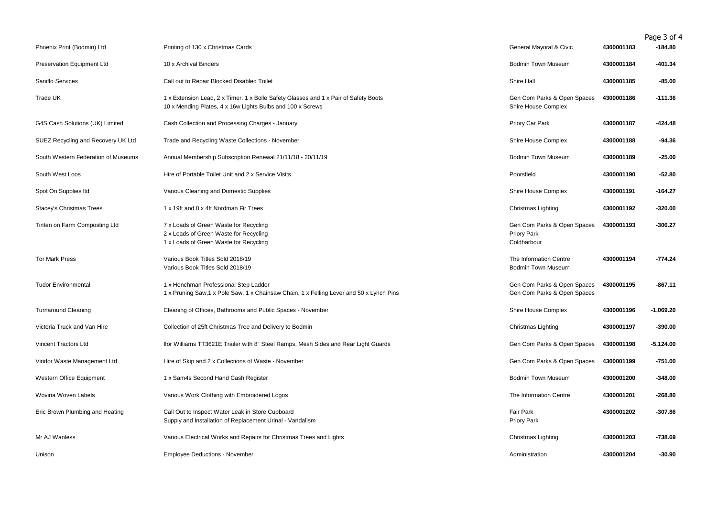|                                     |                                                                                                                                                    |                                                            |            | Page 3 of 4 |
|-------------------------------------|----------------------------------------------------------------------------------------------------------------------------------------------------|------------------------------------------------------------|------------|-------------|
| Phoenix Print (Bodmin) Ltd          | Printing of 130 x Christmas Cards                                                                                                                  | General Mayoral & Civic                                    | 4300001183 | $-184.80$   |
| Preservation Equipment Ltd          | 10 x Archival Binders                                                                                                                              | <b>Bodmin Town Museum</b>                                  | 4300001184 | $-401.34$   |
| Saniflo Services                    | Call out to Repair Blocked Disabled Toilet                                                                                                         | Shire Hall                                                 | 4300001185 | $-85.00$    |
| Trade UK                            | 1 x Extension Lead, 2 x Timer, 1 x Bolle Safety Glasses and 1 x Pair of Safety Boots<br>10 x Mending Plates, 4 x 16w Lights Bulbs and 100 x Screws | Gen Com Parks & Open Spaces<br>Shire House Complex         | 4300001186 | $-111.36$   |
| G4S Cash Solutions (UK) Limited     | Cash Collection and Processing Charges - January                                                                                                   | Priory Car Park                                            | 4300001187 | $-424.48$   |
| SUEZ Recycling and Recovery UK Ltd  | Trade and Recycling Waste Collections - November                                                                                                   | Shire House Complex                                        | 4300001188 | -94.36      |
| South Western Federation of Museums | Annual Membership Subscription Renewal 21/11/18 - 20/11/19                                                                                         | <b>Bodmin Town Museum</b>                                  | 4300001189 | -25.00      |
| South West Loos                     | Hire of Portable Toilet Unit and 2 x Service Visits                                                                                                | Poorsfield                                                 | 4300001190 | $-52.80$    |
| Spot On Supplies Itd                | Various Cleaning and Domestic Supplies                                                                                                             | Shire House Complex                                        | 4300001191 | $-164.27$   |
| Stacey's Christmas Trees            | 1 x 19ft and 8 x 4ft Nordman Fir Trees                                                                                                             | Christmas Lighting                                         | 4300001192 | $-320.00$   |
| Tinten on Farm Composting Ltd       | 7 x Loads of Green Waste for Recycling<br>2 x Loads of Green Waste for Recycling<br>1 x Loads of Green Waste for Recycling                         | Gen Com Parks & Open Spaces<br>Priory Park<br>Coldharbour  | 4300001193 | $-306.27$   |
| <b>Tor Mark Press</b>               | Various Book Titles Sold 2018/19<br>Various Book Titles Sold 2018/19                                                                               | The Information Centre<br><b>Bodmin Town Museum</b>        | 4300001194 | $-774.24$   |
| <b>Tudor Environmental</b>          | 1 x Henchman Professional Step Ladder<br>1 x Pruning Saw, 1 x Pole Saw, 1 x Chainsaw Chain, 1 x Felling Lever and 50 x Lynch Pins                  | Gen Com Parks & Open Spaces<br>Gen Com Parks & Open Spaces | 4300001195 | $-867.11$   |
| <b>Turnaround Cleaning</b>          | Cleaning of Offices, Bathrooms and Public Spaces - November                                                                                        | Shire House Complex                                        | 4300001196 | $-1,069.20$ |
| Victoria Truck and Van Hire         | Collection of 25ft Christmas Tree and Delivery to Bodmin                                                                                           | Christmas Lighting                                         | 4300001197 | $-390.00$   |
| Vincent Tractors Ltd                | Ifor Williams TT3621E Trailer with 8" Steel Ramps, Mesh Sides and Rear Light Guards                                                                | Gen Com Parks & Open Spaces                                | 4300001198 | $-5,124.00$ |
| Viridor Waste Management Ltd        | Hire of Skip and 2 x Collections of Waste - November                                                                                               | Gen Com Parks & Open Spaces                                | 4300001199 | $-751.00$   |
| Western Office Equipment            | 1 x Sam4s Second Hand Cash Register                                                                                                                | Bodmin Town Museum                                         | 4300001200 | $-348.00$   |
| Wovina Woven Labels                 | Various Work Clothing with Embroidered Logos                                                                                                       | The Information Centre                                     | 4300001201 | $-268.80$   |
| Eric Brown Plumbing and Heating     | Call Out to Inspect Water Leak in Store Cupboard<br>Supply and Installation of Replacement Urinal - Vandalism                                      | Fair Park<br><b>Priory Park</b>                            | 4300001202 | $-307.86$   |
| Mr AJ Wanless                       | Various Electrical Works and Repairs for Christmas Trees and Lights                                                                                | Christmas Lighting                                         | 4300001203 | $-738.69$   |
| Unison                              | <b>Employee Deductions - November</b>                                                                                                              | Administration                                             | 4300001204 | $-30.90$    |